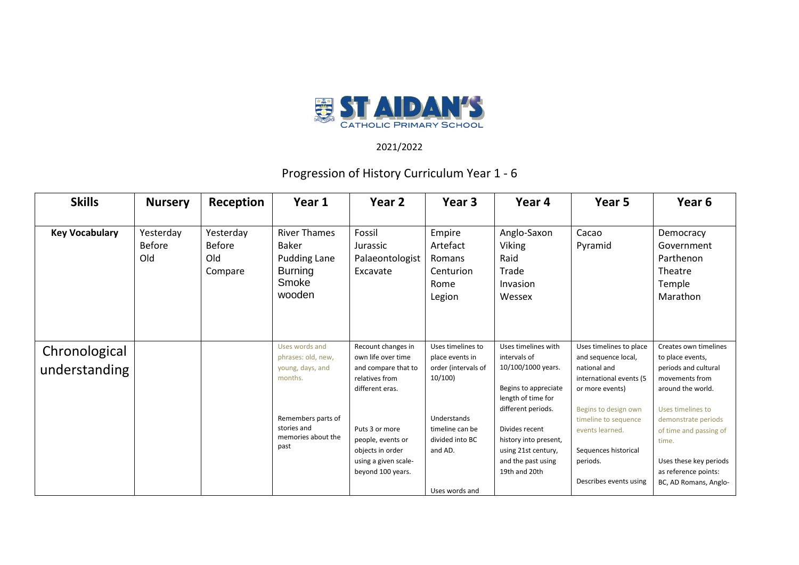

## 2021/2022

## Progression of History Curriculum Year 1 - 6

| <b>Skills</b>                  | <b>Nursery</b>                    | Reception                                    | Year 1                                                                                                                                 | Year 2                                                                                                                                                                                                       | Year 3                                                                                                                                                  | Year 4                                                                                                                                                                                                                                 | Year 5                                                                                                                                                                                                                                        | Year 6                                                                                                                                                                                                                                                             |
|--------------------------------|-----------------------------------|----------------------------------------------|----------------------------------------------------------------------------------------------------------------------------------------|--------------------------------------------------------------------------------------------------------------------------------------------------------------------------------------------------------------|---------------------------------------------------------------------------------------------------------------------------------------------------------|----------------------------------------------------------------------------------------------------------------------------------------------------------------------------------------------------------------------------------------|-----------------------------------------------------------------------------------------------------------------------------------------------------------------------------------------------------------------------------------------------|--------------------------------------------------------------------------------------------------------------------------------------------------------------------------------------------------------------------------------------------------------------------|
| <b>Key Vocabulary</b>          | Yesterday<br><b>Before</b><br>Old | Yesterday<br><b>Before</b><br>Old<br>Compare | <b>River Thames</b><br><b>Baker</b><br><b>Pudding Lane</b><br><b>Burning</b><br>Smoke<br>wooden                                        | Fossil<br>Jurassic<br>Palaeontologist<br>Excavate                                                                                                                                                            | Empire<br>Artefact<br>Romans<br>Centurion<br>Rome<br>Legion                                                                                             | Anglo-Saxon<br>Viking<br>Raid<br>Trade<br>Invasion<br>Wessex                                                                                                                                                                           | Cacao<br>Pyramid                                                                                                                                                                                                                              | Democracy<br>Government<br>Parthenon<br>Theatre<br>Temple<br>Marathon                                                                                                                                                                                              |
| Chronological<br>understanding |                                   |                                              | Uses words and<br>phrases: old, new,<br>young, days, and<br>months.<br>Remembers parts of<br>stories and<br>memories about the<br>past | Recount changes in<br>own life over time<br>and compare that to<br>relatives from<br>different eras.<br>Puts 3 or more<br>people, events or<br>objects in order<br>using a given scale-<br>beyond 100 years. | Uses timelines to<br>place events in<br>order (intervals of<br>10/100<br>Understands<br>timeline can be<br>divided into BC<br>and AD.<br>Uses words and | Uses timelines with<br>intervals of<br>10/100/1000 years.<br>Begins to appreciate<br>length of time for<br>different periods.<br>Divides recent<br>history into present,<br>using 21st century,<br>and the past using<br>19th and 20th | Uses timelines to place<br>and sequence local,<br>national and<br>international events (5<br>or more events)<br>Begins to design own<br>timeline to sequence<br>events learned.<br>Sequences historical<br>periods.<br>Describes events using | Creates own timelines<br>to place events,<br>periods and cultural<br>movements from<br>around the world.<br>Uses timelines to<br>demonstrate periods<br>of time and passing of<br>time.<br>Uses these key periods<br>as reference points:<br>BC, AD Romans, Anglo- |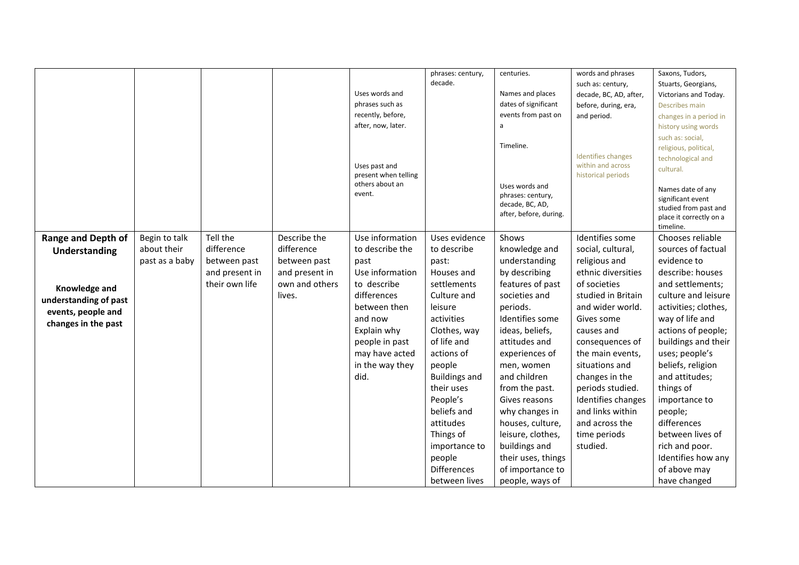|                           |                |                                |                                | Uses words and<br>phrases such as<br>recently, before,<br>after, now, later.<br>Uses past and<br>present when telling<br>others about an<br>event. | phrases: century,<br>decade. | centuries.<br>Names and places<br>dates of significant<br>events from past on<br>a<br>Timeline.<br>Uses words and<br>phrases: century, | words and phrases<br>such as: century,<br>decade, BC, AD, after,<br>before, during, era,<br>and period.<br><b>Identifies changes</b><br>within and across<br>historical periods | Saxons, Tudors,<br>Stuarts, Georgians,<br>Victorians and Today.<br>Describes main<br>changes in a period in<br>history using words<br>such as: social,<br>religious, political,<br>technological and<br>cultural.<br>Names date of any<br>significant event |
|---------------------------|----------------|--------------------------------|--------------------------------|----------------------------------------------------------------------------------------------------------------------------------------------------|------------------------------|----------------------------------------------------------------------------------------------------------------------------------------|---------------------------------------------------------------------------------------------------------------------------------------------------------------------------------|-------------------------------------------------------------------------------------------------------------------------------------------------------------------------------------------------------------------------------------------------------------|
|                           |                |                                |                                |                                                                                                                                                    |                              | decade, BC, AD,<br>after, before, during.                                                                                              |                                                                                                                                                                                 | studied from past and<br>place it correctly on a<br>timeline.                                                                                                                                                                                               |
| <b>Range and Depth of</b> | Begin to talk  | Tell the                       | Describe the                   | Use information                                                                                                                                    | Uses evidence                | Shows                                                                                                                                  | Identifies some                                                                                                                                                                 | Chooses reliable                                                                                                                                                                                                                                            |
| Understanding             | about their    | difference                     | difference                     | to describe the                                                                                                                                    | to describe                  | knowledge and                                                                                                                          | social, cultural,                                                                                                                                                               | sources of factual                                                                                                                                                                                                                                          |
|                           | past as a baby | between past<br>and present in | between past<br>and present in | past<br>Use information                                                                                                                            | past:<br>Houses and          | understanding<br>by describing                                                                                                         | religious and<br>ethnic diversities                                                                                                                                             | evidence to<br>describe: houses                                                                                                                                                                                                                             |
|                           |                | their own life                 | own and others                 | to describe                                                                                                                                        | settlements                  | features of past                                                                                                                       | of societies                                                                                                                                                                    | and settlements;                                                                                                                                                                                                                                            |
| Knowledge and             |                |                                | lives.                         | differences                                                                                                                                        | Culture and                  | societies and                                                                                                                          | studied in Britain                                                                                                                                                              | culture and leisure                                                                                                                                                                                                                                         |
| understanding of past     |                |                                |                                | between then                                                                                                                                       | leisure                      | periods.                                                                                                                               | and wider world.                                                                                                                                                                | activities; clothes,                                                                                                                                                                                                                                        |
| events, people and        |                |                                |                                | and now                                                                                                                                            | activities                   | Identifies some                                                                                                                        | Gives some                                                                                                                                                                      | way of life and                                                                                                                                                                                                                                             |
| changes in the past       |                |                                |                                | Explain why                                                                                                                                        | Clothes, way                 | ideas, beliefs,                                                                                                                        | causes and                                                                                                                                                                      | actions of people;                                                                                                                                                                                                                                          |
|                           |                |                                |                                | people in past                                                                                                                                     | of life and                  | attitudes and                                                                                                                          | consequences of                                                                                                                                                                 | buildings and their                                                                                                                                                                                                                                         |
|                           |                |                                |                                | may have acted                                                                                                                                     | actions of                   | experiences of                                                                                                                         | the main events,                                                                                                                                                                | uses; people's                                                                                                                                                                                                                                              |
|                           |                |                                |                                | in the way they                                                                                                                                    | people                       | men, women                                                                                                                             | situations and                                                                                                                                                                  | beliefs, religion                                                                                                                                                                                                                                           |
|                           |                |                                |                                | did.                                                                                                                                               | <b>Buildings and</b>         | and children                                                                                                                           | changes in the                                                                                                                                                                  | and attitudes;                                                                                                                                                                                                                                              |
|                           |                |                                |                                |                                                                                                                                                    | their uses                   | from the past.                                                                                                                         | periods studied.                                                                                                                                                                | things of                                                                                                                                                                                                                                                   |
|                           |                |                                |                                |                                                                                                                                                    | People's                     | Gives reasons                                                                                                                          | Identifies changes                                                                                                                                                              | importance to                                                                                                                                                                                                                                               |
|                           |                |                                |                                |                                                                                                                                                    | beliefs and                  | why changes in                                                                                                                         | and links within                                                                                                                                                                | people;                                                                                                                                                                                                                                                     |
|                           |                |                                |                                |                                                                                                                                                    | attitudes                    | houses, culture,                                                                                                                       | and across the                                                                                                                                                                  | differences                                                                                                                                                                                                                                                 |
|                           |                |                                |                                |                                                                                                                                                    | Things of                    | leisure, clothes,                                                                                                                      | time periods                                                                                                                                                                    | between lives of                                                                                                                                                                                                                                            |
|                           |                |                                |                                |                                                                                                                                                    | importance to                | buildings and                                                                                                                          | studied.                                                                                                                                                                        | rich and poor.                                                                                                                                                                                                                                              |
|                           |                |                                |                                |                                                                                                                                                    | people                       | their uses, things                                                                                                                     |                                                                                                                                                                                 | Identifies how any                                                                                                                                                                                                                                          |
|                           |                |                                |                                |                                                                                                                                                    | <b>Differences</b>           | of importance to                                                                                                                       |                                                                                                                                                                                 | of above may                                                                                                                                                                                                                                                |
|                           |                |                                |                                |                                                                                                                                                    | between lives                | people, ways of                                                                                                                        |                                                                                                                                                                                 | have changed                                                                                                                                                                                                                                                |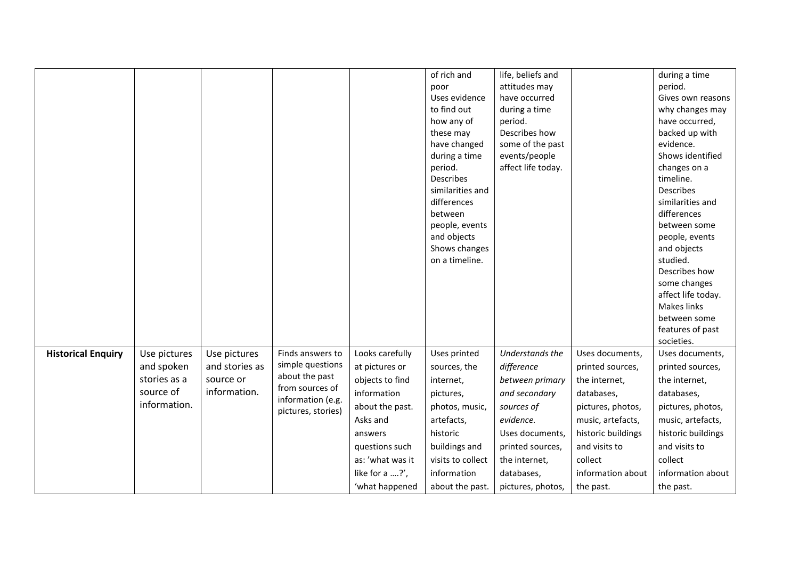|                           |              |                |                                         |                  | of rich and       | life, beliefs and  |                    | during a time      |
|---------------------------|--------------|----------------|-----------------------------------------|------------------|-------------------|--------------------|--------------------|--------------------|
|                           |              |                |                                         |                  | poor              | attitudes may      |                    | period.            |
|                           |              |                |                                         |                  | Uses evidence     | have occurred      |                    | Gives own reasons  |
|                           |              |                |                                         |                  | to find out       | during a time      |                    | why changes may    |
|                           |              |                |                                         |                  | how any of        | period.            |                    | have occurred,     |
|                           |              |                |                                         |                  | these may         | Describes how      |                    | backed up with     |
|                           |              |                |                                         |                  | have changed      | some of the past   |                    | evidence.          |
|                           |              |                |                                         |                  | during a time     | events/people      |                    | Shows identified   |
|                           |              |                |                                         |                  | period.           | affect life today. |                    | changes on a       |
|                           |              |                |                                         |                  | <b>Describes</b>  |                    |                    | timeline.          |
|                           |              |                |                                         |                  | similarities and  |                    |                    | Describes          |
|                           |              |                |                                         |                  | differences       |                    |                    | similarities and   |
|                           |              |                |                                         |                  | between           |                    |                    | differences        |
|                           |              |                |                                         |                  | people, events    |                    |                    | between some       |
|                           |              |                |                                         |                  | and objects       |                    |                    | people, events     |
|                           |              |                |                                         |                  | Shows changes     |                    |                    | and objects        |
|                           |              |                |                                         |                  | on a timeline.    |                    |                    | studied.           |
|                           |              |                |                                         |                  |                   |                    |                    | Describes how      |
|                           |              |                |                                         |                  |                   |                    |                    | some changes       |
|                           |              |                |                                         |                  |                   |                    |                    | affect life today. |
|                           |              |                |                                         |                  |                   |                    |                    | <b>Makes links</b> |
|                           |              |                |                                         |                  |                   |                    |                    | between some       |
|                           |              |                |                                         |                  |                   |                    |                    | features of past   |
|                           |              |                |                                         |                  |                   |                    |                    | societies.         |
| <b>Historical Enquiry</b> | Use pictures | Use pictures   | Finds answers to                        | Looks carefully  | Uses printed      | Understands the    | Uses documents,    | Uses documents,    |
|                           | and spoken   | and stories as | simple questions                        | at pictures or   | sources, the      | difference         | printed sources,   | printed sources,   |
|                           | stories as a | source or      | about the past                          | objects to find  | internet,         | between primary    | the internet,      | the internet,      |
|                           | source of    | information.   | from sources of                         | information      | pictures,         | and secondary      | databases,         | databases,         |
|                           | information. |                | information (e.g.<br>pictures, stories) | about the past.  | photos, music,    | sources of         | pictures, photos,  | pictures, photos,  |
|                           |              |                |                                         | Asks and         | artefacts,        | evidence.          | music, artefacts,  | music, artefacts,  |
|                           |              |                |                                         | answers          | historic          | Uses documents,    | historic buildings | historic buildings |
|                           |              |                |                                         | questions such   | buildings and     | printed sources,   | and visits to      | and visits to      |
|                           |              |                |                                         | as: 'what was it | visits to collect | the internet,      | collect            | collect            |
|                           |              |                |                                         | like for a ?',   | information       | databases,         | information about  | information about  |
|                           |              |                |                                         | 'what happened   | about the past.   | pictures, photos,  | the past.          | the past.          |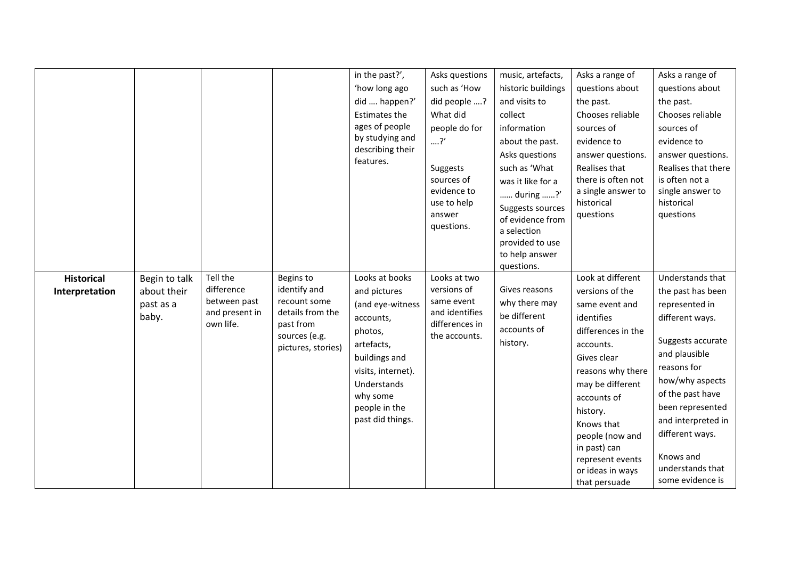|                                     |                                                    |                                                                       |                                                                                                                   | in the past?',<br>'how long ago<br>did  happen?'<br>Estimates the<br>ages of people<br>by studying and<br>describing their<br>features.                                                         | Asks questions<br>such as 'How<br>did people ?<br>What did<br>people do for<br>?'<br>Suggests<br>sources of<br>evidence to<br>use to help<br>answer<br>questions. | music, artefacts,<br>historic buildings<br>and visits to<br>collect<br>information<br>about the past.<br>Asks questions<br>such as 'What<br>was it like for a<br>during ?'<br>Suggests sources<br>of evidence from<br>a selection<br>provided to use<br>to help answer<br>questions. | Asks a range of<br>questions about<br>the past.<br>Chooses reliable<br>sources of<br>evidence to<br>answer questions.<br>Realises that<br>there is often not<br>a single answer to<br>historical<br>questions                                                                                        | Asks a range of<br>questions about<br>the past.<br>Chooses reliable<br>sources of<br>evidence to<br>answer questions.<br>Realises that there<br>is often not a<br>single answer to<br>historical<br>questions                                                                            |
|-------------------------------------|----------------------------------------------------|-----------------------------------------------------------------------|-------------------------------------------------------------------------------------------------------------------|-------------------------------------------------------------------------------------------------------------------------------------------------------------------------------------------------|-------------------------------------------------------------------------------------------------------------------------------------------------------------------|--------------------------------------------------------------------------------------------------------------------------------------------------------------------------------------------------------------------------------------------------------------------------------------|------------------------------------------------------------------------------------------------------------------------------------------------------------------------------------------------------------------------------------------------------------------------------------------------------|------------------------------------------------------------------------------------------------------------------------------------------------------------------------------------------------------------------------------------------------------------------------------------------|
| <b>Historical</b><br>Interpretation | Begin to talk<br>about their<br>past as a<br>baby. | Tell the<br>difference<br>between past<br>and present in<br>own life. | Begins to<br>identify and<br>recount some<br>details from the<br>past from<br>sources (e.g.<br>pictures, stories) | Looks at books<br>and pictures<br>(and eye-witness<br>accounts,<br>photos,<br>artefacts,<br>buildings and<br>visits, internet).<br>Understands<br>why some<br>people in the<br>past did things. | Looks at two<br>versions of<br>same event<br>and identifies<br>differences in<br>the accounts.                                                                    | Gives reasons<br>why there may<br>be different<br>accounts of<br>history.                                                                                                                                                                                                            | Look at different<br>versions of the<br>same event and<br>identifies<br>differences in the<br>accounts.<br>Gives clear<br>reasons why there<br>may be different<br>accounts of<br>history.<br>Knows that<br>people (now and<br>in past) can<br>represent events<br>or ideas in ways<br>that persuade | Understands that<br>the past has been<br>represented in<br>different ways.<br>Suggests accurate<br>and plausible<br>reasons for<br>how/why aspects<br>of the past have<br>been represented<br>and interpreted in<br>different ways.<br>Knows and<br>understands that<br>some evidence is |